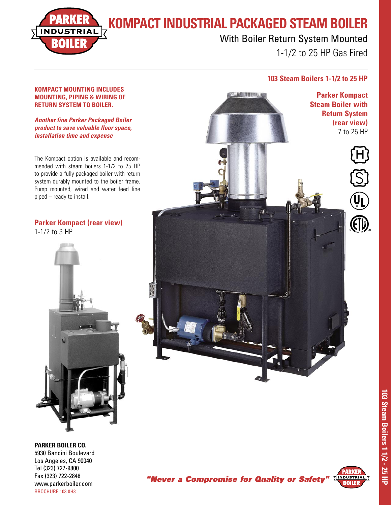**KOMPACT INDUSTRIAL PACKAGED STEAM BOILER**

# IND

With Boiler Return System Mounted 1-1/2 to 25 HP Gas Fired

### **103 Steam Boilers 1-1/2 to 25 HP**

#### **KOMPACT MOUNTING INCLUDES MOUNTING, PIPING & WIRING OF RETURN SYSTEM TO BOILER.**

**Another fine Parker Packaged Boiler product to save valuable floor space, installation time and expense**

The Kompact option is available and recommended with steam boilers 1-1/2 to 25 HP to provide a fully packaged boiler with return system durably mounted to the boiler frame. Pump mounted, wired and water feed line piped – ready to install.

## **Parker Kompact (rear view)**



#### **PARKER BOILER CO.**

5930 Bandini Boulevard Los Angeles, CA 90040 Tel (323) 727-9800 Fax (323) 722-2848 www.parkerboiler.com BROCHURE 103 0H3





"Never a Compromise for Quality or Safety"